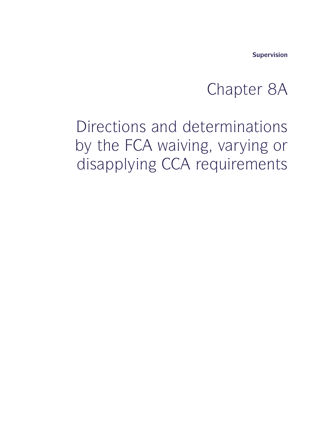**Supervision**

# supervision<br>Chapter 8A<br>Arminations

<sup>Supervision</sup><br>Chapter 8A<br>Directions and determinations<br>by the FCA waiving, varying or<br>disapplying CCA requirements Supervision<br>Chapter 8A<br>Directions and determinations<br>by the FCA waiving, varying or<br>disapplying CCA requirements <sup>Supervision</sup><br>Chapter 8A<br>Directions and determinations<br>by the FCA waiving, varying or<br>disapplying CCA requirements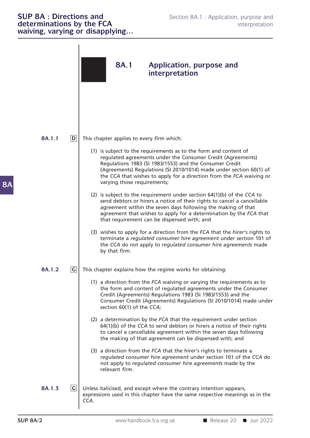#### **SUP 8A : Directions and**<br> **SECOND 8A.1** : Application, purpose and<br> **determinations by the FCA** interpretation<br> **interpretation SUP 8A : Directions and**<br> **determinations by the FCA** interpretation interpretation<br> **waiving, varying or disapplying... SUP 8A : Directions and Section 8A.**<br> **determinations by the FCA**<br> **waiving, varying or disapplying...**

| <b>SUP 8A: Directions and</b><br>determinations by the FCA | Section 8A.1: Application, purpose and<br>interpretation<br>waiving, varying or disapplying                                                                                                                                                                                                                                                                              |
|------------------------------------------------------------|--------------------------------------------------------------------------------------------------------------------------------------------------------------------------------------------------------------------------------------------------------------------------------------------------------------------------------------------------------------------------|
|                                                            | <b>8A.1</b><br>Application, purpose and<br>interpretation                                                                                                                                                                                                                                                                                                                |
| D <br>8A.1.1                                               | This chapter applies to every firm which:                                                                                                                                                                                                                                                                                                                                |
|                                                            | (1) is subject to the requirements as to the form and content of<br>regulated agreements under the Consumer Credit (Agreements)<br>Regulations 1983 (SI 1983/1553) and the Consumer Credit<br>(Agreements) Regulations (SI 2010/1014) made under section 60(1) of<br>the CCA that wishes to apply for a direction from the FCA waiving or<br>varying those requirements; |
|                                                            | (2) is subject to the requirement under section 64(1)(b) of the CCA to<br>send debtors or hirers a notice of their rights to cancel a cancellable<br>agreement within the seven days following the making of that<br>agreement that wishes to apply for a determination by the FCA that<br>that requirement can be dispensed with; and                                   |
|                                                            | (3) wishes to apply for a direction from the FCA that the hirer's rights to<br>terminate a regulated consumer hire agreement under section 101 of<br>the CCA do not apply to regulated consumer hire agreements made<br>by that firm.                                                                                                                                    |
| G <br>8A.1.2                                               | This chapter explains how the regime works for obtaining:                                                                                                                                                                                                                                                                                                                |
|                                                            | (1) a direction from the FCA waiving or varying the requirements as to<br>the form and content of regulated agreements under the Consumer<br>Credit (Agreements) Regulations 1983 (SI 1983/1553) and the<br>Consumer Credit (Agreements) Regulations (SI 2010/1014) made under<br>section 60(1) of the CCA;                                                              |
|                                                            | (2) a determination by the FCA that the requirement under section<br>64(1)(b) of the CCA to send debtors or hirers a notice of their rights<br>to cancel a cancellable agreement within the seven days following<br>the making of that agreement can be dispensed with; and                                                                                              |
|                                                            | (3) a direction from the FCA that the hirer's rights to terminate a<br>regulated consumer hire agreement under section 101 of the CCA do<br>not apply to regulated consumer hire agreements made by the<br>relevant firm.                                                                                                                                                |
| G <br>8A.1.3                                               | Unless italicised, and except where the contrary intention appears,<br>expressions used in this chapter have the same respective meanings as in the<br>CCA.                                                                                                                                                                                                              |
|                                                            |                                                                                                                                                                                                                                                                                                                                                                          |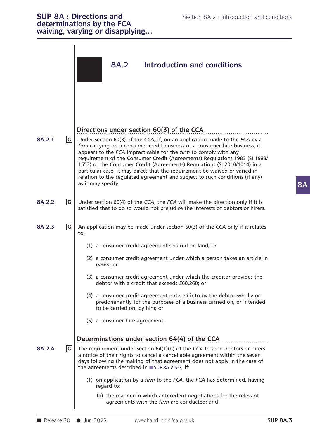|            |              | <b>SUP 8A : Directions and</b><br>Section 8A.2 : Introduction and conditions<br>determinations by the FCA<br>waiving, varying or disapplying                                                                                                                                                                                                                                                                                                                                                  |  |  |
|------------|--------------|-----------------------------------------------------------------------------------------------------------------------------------------------------------------------------------------------------------------------------------------------------------------------------------------------------------------------------------------------------------------------------------------------------------------------------------------------------------------------------------------------|--|--|
|            |              | <b>8A.2</b><br><b>Introduction and conditions</b>                                                                                                                                                                                                                                                                                                                                                                                                                                             |  |  |
| 8A.2.1     | G            | Directions under section 60(3) of the CCA<br>Under section 60(3) of the CCA, if, on an application made to the FCA by a                                                                                                                                                                                                                                                                                                                                                                       |  |  |
|            |              | firm carrying on a consumer credit business or a consumer hire business, it<br>appears to the FCA impracticable for the firm to comply with any<br>requirement of the Consumer Credit (Agreements) Regulations 1983 (SI 1983/<br>1553) or the Consumer Credit (Agreements) Regulations (SI 2010/1014) in a<br>particular case, it may direct that the requirement be waived or varied in<br>relation to the regulated agreement and subject to such conditions (if any)<br>as it may specify. |  |  |
| 8A.2.2     | G            | Under section 60(4) of the CCA, the FCA will make the direction only if it is<br>satisfied that to do so would not prejudice the interests of debtors or hirers.                                                                                                                                                                                                                                                                                                                              |  |  |
| 8A.2.3     | $\mathsf{G}$ | An application may be made under section 60(3) of the CCA only if it relates<br>to:                                                                                                                                                                                                                                                                                                                                                                                                           |  |  |
|            |              | (1) a consumer credit agreement secured on land; or                                                                                                                                                                                                                                                                                                                                                                                                                                           |  |  |
|            |              | (2) a consumer credit agreement under which a person takes an article in<br>pawn; or                                                                                                                                                                                                                                                                                                                                                                                                          |  |  |
|            |              | (3) a consumer credit agreement under which the creditor provides the<br>debtor with a credit that exceeds £60,260; or                                                                                                                                                                                                                                                                                                                                                                        |  |  |
|            |              | (4) a consumer credit agreement entered into by the debtor wholly or<br>predominantly for the purposes of a business carried on, or intended<br>to be carried on, by him; or                                                                                                                                                                                                                                                                                                                  |  |  |
|            |              | (5) a consumer hire agreement.                                                                                                                                                                                                                                                                                                                                                                                                                                                                |  |  |
| 8A.2.4     | G            | Determinations under section 64(4) of the CCA<br>The requirement under section 64(1)(b) of the CCA to send debtors or hirers<br>a notice of their rights to cancel a cancellable agreement within the seven<br>days following the making of that agreement does not apply in the case of<br>the agreements described in SUP 8A.2.5 G, if:                                                                                                                                                     |  |  |
|            |              | (1) on application by a firm to the FCA, the FCA has determined, having<br>regard to:                                                                                                                                                                                                                                                                                                                                                                                                         |  |  |
|            |              | (a) the manner in which antecedent negotiations for the relevant<br>agreements with the firm are conducted; and                                                                                                                                                                                                                                                                                                                                                                               |  |  |
|            |              |                                                                                                                                                                                                                                                                                                                                                                                                                                                                                               |  |  |
| Release 20 |              | www.handbook.fca.org.uk<br><b>SUP 8A/3</b><br>$\bullet$ Jun 2022                                                                                                                                                                                                                                                                                                                                                                                                                              |  |  |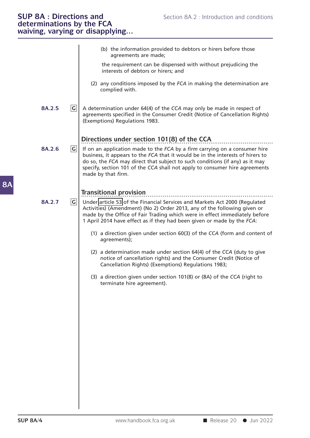### **SUP 8A : Directions and Section 8A.2 : Internal Section 8A.2 : Internal conditions and conditions and conditions**  $\mathbf{z}$  **is a section by the condition**  $\mathbf{z}$  **is a section of**  $\mathbf{z}$  **is a section of**  $\mathbf{z}$  **is a secti** waiving, varying or disapplying...

|        |   | (b) the information provided to debtors or hirers before those<br>agreements are made;                                                                                                                                                                                                                                                            |
|--------|---|---------------------------------------------------------------------------------------------------------------------------------------------------------------------------------------------------------------------------------------------------------------------------------------------------------------------------------------------------|
|        |   | the requirement can be dispensed with without prejudicing the<br>interests of debtors or hirers; and                                                                                                                                                                                                                                              |
|        |   | (2) any conditions imposed by the FCA in making the determination are<br>complied with.                                                                                                                                                                                                                                                           |
| 8A.2.5 | G | A determination under 64(4) of the CCA may only be made in respect of<br>agreements specified in the Consumer Credit (Notice of Cancellation Rights)<br>(Exemptions) Regulations 1983.                                                                                                                                                            |
|        |   | Directions under section 101(8) of the CCA                                                                                                                                                                                                                                                                                                        |
| 8A.2.6 | G | If on an application made to the FCA by a firm carrying on a consumer hire<br>business, it appears to the FCA that it would be in the interests of hirers to<br>do so, the FCA may direct that subject to such conditions (if any) as it may<br>specify, section 101 of the CCA shall not apply to consumer hire agreements<br>made by that firm. |
| 8A.2.7 | G | <b>Transitional provision</b><br>Under article 53 of the Financial Services and Markets Act 2000 (Regulated<br>Activities) (Amendment) (No 2) Order 2013, any of the following given or<br>made by the Office of Fair Trading which were in effect immediately before<br>1 April 2014 have effect as if they had been given or made by the FCA:   |
|        |   | (1) a direction given under section 60(3) of the CCA (form and content of<br>agreements);                                                                                                                                                                                                                                                         |
|        |   | (2) a determination made under section 64(4) of the CCA (duty to give<br>notice of cancellation rights) and the Consumer Credit (Notice of<br>Cancellation Rights) (Exemptions) Regulations 1983;                                                                                                                                                 |
|        |   | (3) a direction given under section 101(8) or (8A) of the CCA (right to<br>terminate hire agreement).                                                                                                                                                                                                                                             |
|        |   |                                                                                                                                                                                                                                                                                                                                                   |
|        |   |                                                                                                                                                                                                                                                                                                                                                   |
|        |   |                                                                                                                                                                                                                                                                                                                                                   |
|        |   |                                                                                                                                                                                                                                                                                                                                                   |
|        |   |                                                                                                                                                                                                                                                                                                                                                   |
|        |   |                                                                                                                                                                                                                                                                                                                                                   |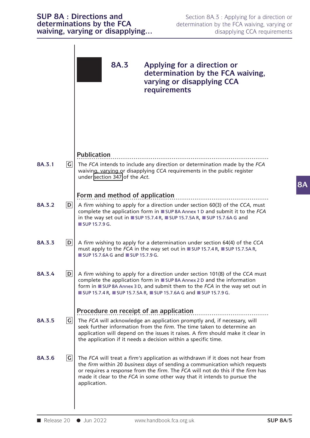|        |                | waiving, varying or disapplying                                                                                                                                                                                                                                                                                                           | disapplying CCA requirements                                                                                   |                 |
|--------|----------------|-------------------------------------------------------------------------------------------------------------------------------------------------------------------------------------------------------------------------------------------------------------------------------------------------------------------------------------------|----------------------------------------------------------------------------------------------------------------|-----------------|
|        |                | <b>8A.3</b>                                                                                                                                                                                                                                                                                                                               | Applying for a direction or<br>determination by the FCA waiving,<br>varying or disapplying CCA<br>requirements |                 |
|        |                | <b>Publication</b>                                                                                                                                                                                                                                                                                                                        |                                                                                                                |                 |
| 8A.3.1 | G              | The FCA intends to include any direction or determination made by the FCA<br>waiving, varying or disapplying CCA requirements in the public register<br>under section 347 of the Act.                                                                                                                                                     |                                                                                                                |                 |
|        |                | Form and method of application                                                                                                                                                                                                                                                                                                            |                                                                                                                |                 |
| 8A.3.2 | D              | A firm wishing to apply for a direction under section 60(3) of the CCA, must<br>complete the application form in ■ SUP 8A Annex 1 D and submit it to the FCA<br>in the way set out in $\blacksquare$ SUP 15.7.4 R, $\blacksquare$ SUP 15.7.5A R, $\blacksquare$ SUP 15.7.6A G and<br>SUP 15.7.9 G.                                        |                                                                                                                |                 |
| 8A.3.3 | D              | A firm wishing to apply for a determination under section 64(4) of the CCA<br>must apply to the FCA in the way set out in ■ SUP 15.7.4 R, ■ SUP 15.7.5A R,<br>■ SUP 15.7.6A G and ■ SUP 15.7.9 G.                                                                                                                                         |                                                                                                                |                 |
| 8A.3.4 | $\mathsf{D}$   | A firm wishing to apply for a direction under section 101(8) of the CCA must<br>complete the application form in ■ SUP 8A Annex 2 D and the information<br>form in ■ SUP 8A Annex 3 D, and submit them to the FCA in the way set out in<br>■ SUP 15.7.4 R, ■ SUP 15.7.5A R, ■ SUP 15.7.6A G and ■ SUP 15.7.9 G.                           |                                                                                                                |                 |
|        |                | Procedure on receipt of an application                                                                                                                                                                                                                                                                                                    |                                                                                                                |                 |
| 8A.3.5 | G              | The FCA will acknowledge an application promptly and, if necessary, will<br>seek further information from the firm. The time taken to determine an<br>application will depend on the issues it raises. A firm should make it clear in<br>the application if it needs a decision within a specific time.                                   |                                                                                                                |                 |
| 8A.3.6 | $\overline{G}$ | The FCA will treat a firm's application as withdrawn if it does not hear from<br>the firm within 20 business days of sending a communication which requests<br>or requires a response from the firm. The FCA will not do this if the firm has<br>made it clear to the FCA in some other way that it intends to pursue the<br>application. |                                                                                                                |                 |
|        |                | Release 20 $\bullet$ Jun 2022                                                                                                                                                                                                                                                                                                             | www.handbook.fca.org.uk                                                                                        | <b>SUP 8A/5</b> |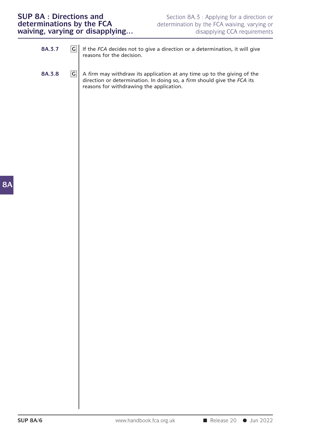## **SUP 8A : Directions and**<br> **SUP 8A : Directions and**<br> **Section 8A.3 : Applying for a direction or determinations by the FCA**<br> **Section 8A.3 : Applying for a direction or determination by the FCA waiving, varying or disappl SUP 8A : Directions and**<br> **determinations by the FCA** determination by the FCA waiving, varying or<br> **waiving, varying or disapplying...** disapplying CCA requirements

| <b>SUP 8A: Directions and</b><br>determinations by the FCA<br>determination by the FCA waiving, varying or<br>waiving, varying or disapplying |        |                 |                                                                                                                                                                                                | Section 8A.3 : Applying for a direction or<br>disapplying CCA requirements |
|-----------------------------------------------------------------------------------------------------------------------------------------------|--------|-----------------|------------------------------------------------------------------------------------------------------------------------------------------------------------------------------------------------|----------------------------------------------------------------------------|
|                                                                                                                                               | 8A.3.7 | G               | If the FCA decides not to give a direction or a determination, it will give<br>reasons for the decision.                                                                                       |                                                                            |
|                                                                                                                                               | 8A.3.8 | $ {\mathbf G} $ | A firm may withdraw its application at any time up to the giving of the<br>direction or determination. In doing so, a firm should give the FCA its<br>reasons for withdrawing the application. |                                                                            |
|                                                                                                                                               |        |                 |                                                                                                                                                                                                |                                                                            |
|                                                                                                                                               |        |                 |                                                                                                                                                                                                |                                                                            |
|                                                                                                                                               |        |                 |                                                                                                                                                                                                |                                                                            |
|                                                                                                                                               |        |                 |                                                                                                                                                                                                |                                                                            |
|                                                                                                                                               |        |                 |                                                                                                                                                                                                |                                                                            |
|                                                                                                                                               |        |                 |                                                                                                                                                                                                |                                                                            |
|                                                                                                                                               |        |                 |                                                                                                                                                                                                |                                                                            |
|                                                                                                                                               |        |                 |                                                                                                                                                                                                |                                                                            |

**8A**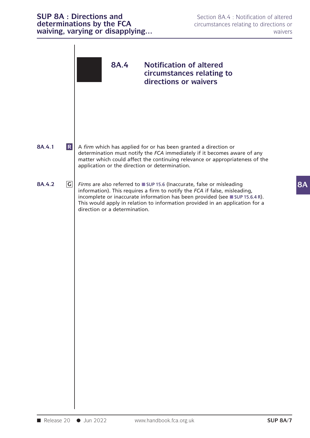|                                   | <b>SUP 8A : Directions and</b><br>determinations by the FCA<br>waiving, varying or disapplying | Section 8A.4 : Notification of altered<br>circumstances relating to directions or<br>waivers                                                                                                                                                                                                                       |  |
|-----------------------------------|------------------------------------------------------------------------------------------------|--------------------------------------------------------------------------------------------------------------------------------------------------------------------------------------------------------------------------------------------------------------------------------------------------------------------|--|
|                                   | 8A.4                                                                                           | <b>Notification of altered</b><br>circumstances relating to<br>directions or waivers                                                                                                                                                                                                                               |  |
| $\overline{\mathsf{R}}$<br>8A.4.1 | application or the direction or determination.                                                 | A firm which has applied for or has been granted a direction or<br>determination must notify the FCA immediately if it becomes aware of any<br>matter which could affect the continuing relevance or appropriateness of the                                                                                        |  |
| $\mathsf{G}$<br>8A.4.2            | direction or a determination.                                                                  | Firms are also referred to SUP 15.6 (Inaccurate, false or misleading<br>information). This requires a firm to notify the FCA if false, misleading,<br>incomplete or inaccurate information has been provided (see ■ SUP 15.6.4 R).<br>This would apply in relation to information provided in an application for a |  |
| Release 20                        | $\bullet$ Jun 2022                                                                             | www.handbook.fca.org.uk<br><b>SUP 8A/7</b>                                                                                                                                                                                                                                                                         |  |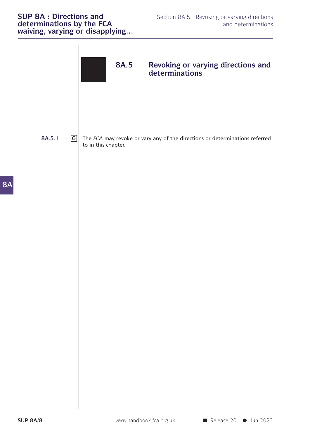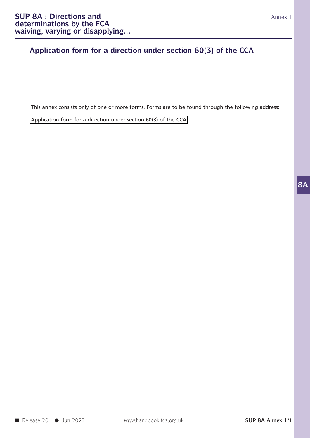#### **Application form for a direction under section 60(3) of the CCA**

This annex consists only of one or more forms. Forms are to be found through the following address:<br>Application form for a direction under section 60(3) of the CCA This annex consists only of one or more forms. Forms are to be found throug<br>Application form for a direction under section 60(3) of the CCA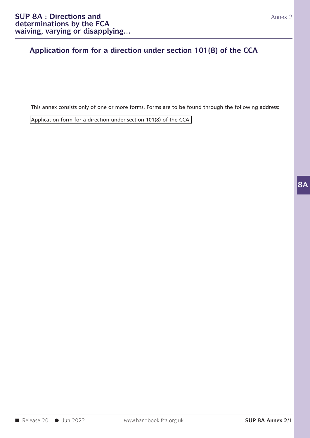#### **Application form for a direction under section 101(8) of the CCA**

This annex consists only of one or more forms. Forms are to be found through the following address:<br>Application form for a direction under section 101(8) of the CCA This annex consists only of one or more forms. Forms are to be found through<br>Application form for a direction under section 101(8) of the CCA